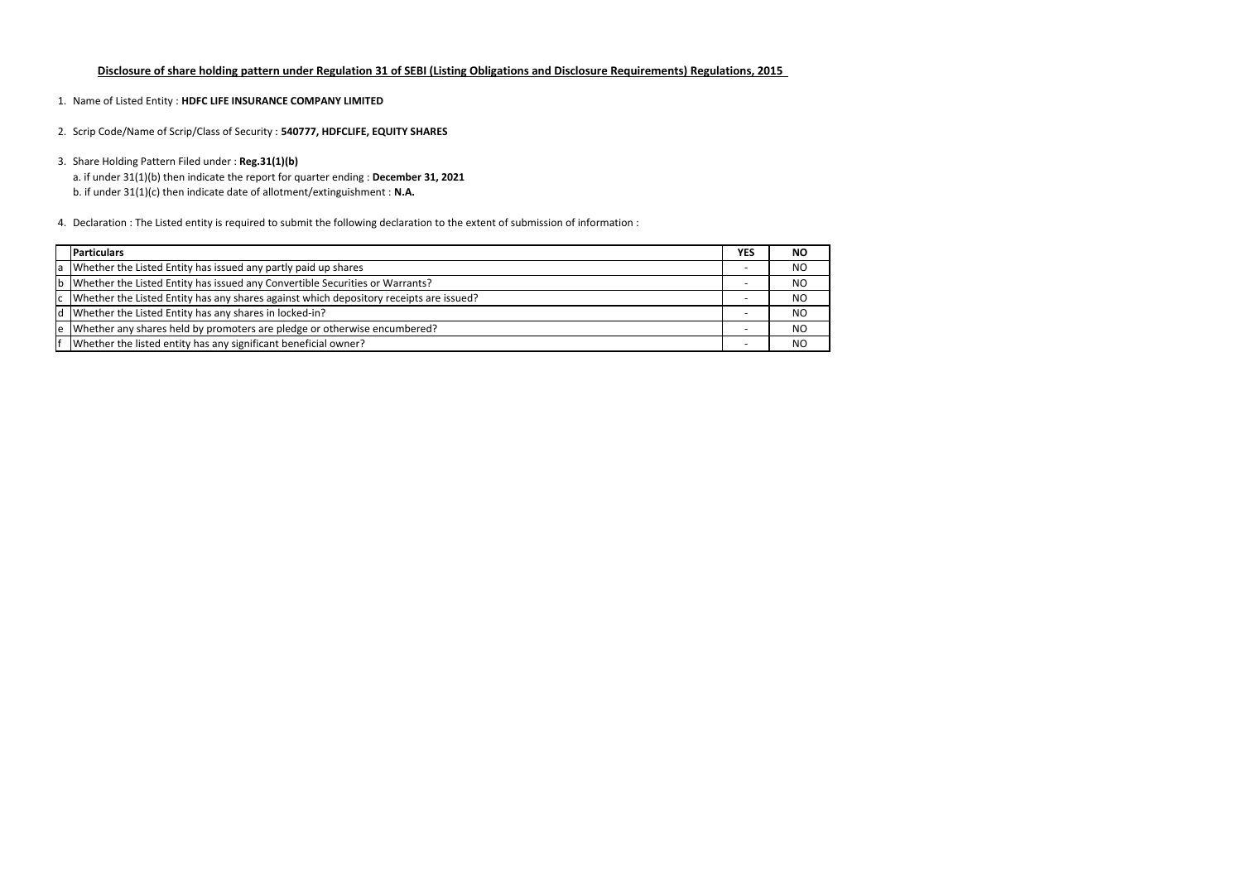- 1. Name of Listed Entity : **HDFC LIFE INSURANCE COMPANY LIMITED**
- 2. Scrip Code/Name of Scrip/Class of Security : **540777, HDFCLIFE, EQUITY SHARES**
- 3. Share Holding Pattern Filed under : **Reg.31(1)(b)**
	- a. if under 31(1)(b) then indicate the report for quarter ending : **December 31, 2021**
	- b. if under 31(1)(c) then indicate date of allotment/extinguishment : **N.A.**
- 4. Declaration : The Listed entity is required to submit the following declaration to the extent of submission of information :

| <b>Particulars</b>                                                                        | <b>YES</b> | <b>NO</b> |
|-------------------------------------------------------------------------------------------|------------|-----------|
| a Whether the Listed Entity has issued any partly paid up shares                          |            | <b>NO</b> |
| b Whether the Listed Entity has issued any Convertible Securities or Warrants?            |            | <b>NO</b> |
| c  Whether the Listed Entity has any shares against which depository receipts are issued? |            | <b>NO</b> |
| d Whether the Listed Entity has any shares in locked-in?                                  |            | <b>NO</b> |
| e Whether any shares held by promoters are pledge or otherwise encumbered?                |            | <b>NO</b> |
| Whether the listed entity has any significant beneficial owner?                           |            | <b>NO</b> |

# **Disclosure of share holding pattern under Regulation 31 of SEBI (Listing Obligations and Disclosure Requirements) Regulations, 2015**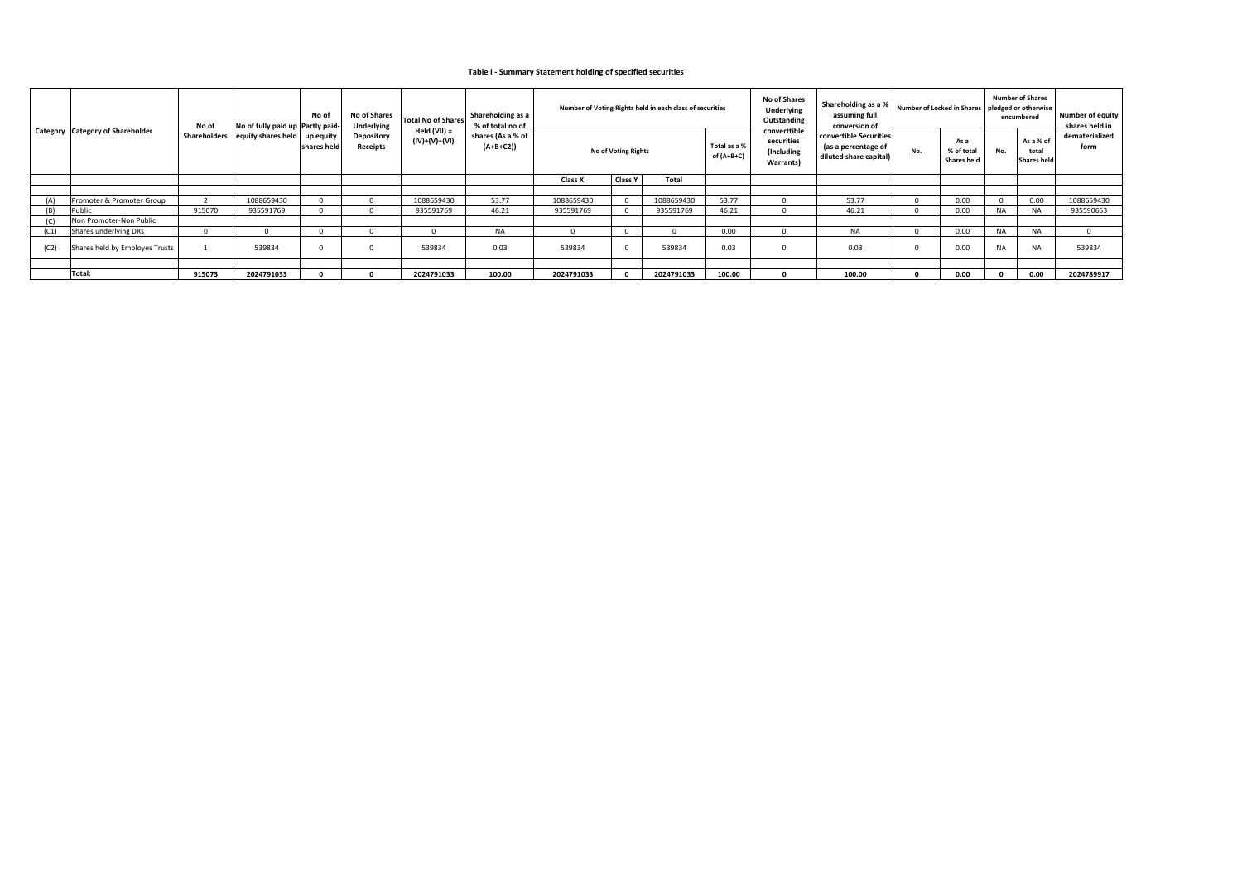|      | Category Category of Shareholder | No of  | No of fully paid up Partly paid-                             | No of        | <b>No of Shares</b><br>Underlying | <b>Total No of Shares</b>     | Shareholding as a<br>% of total no of |            |                     | Number of Voting Rights held in each class of securities |                            | <b>No of Shares</b><br><b>Underlying</b><br>Outstanding | Shareholding as a %<br>assuming full<br>conversion of                   | Number of Locked in Shares |                                          | <b>Number of Shares</b><br>pledged or otherwise<br>encumbered |                                          | <b>Number of equity</b><br>shares held in |
|------|----------------------------------|--------|--------------------------------------------------------------|--------------|-----------------------------------|-------------------------------|---------------------------------------|------------|---------------------|----------------------------------------------------------|----------------------------|---------------------------------------------------------|-------------------------------------------------------------------------|----------------------------|------------------------------------------|---------------------------------------------------------------|------------------------------------------|-------------------------------------------|
|      |                                  |        | Shareholders   equity shares held   up equity<br>shares held |              | <b>Depository</b><br>Receipts     | Held (VII) =<br>(IV)+(V)+(VI) | shares (As a % of<br>(A+B+C2))        |            | No of Voting Rights |                                                          | Total as a %<br>of (A+B+C) | converttible<br>securities<br>(Including<br>Warrants)   | convertible Securities<br>(as a percentage of<br>diluted share capital) | No.                        | As a<br>% of total<br><b>Shares held</b> | No.                                                           | As a % of<br>total<br><b>Shares held</b> | dematerialized<br>form                    |
|      |                                  |        |                                                              |              |                                   |                               |                                       | Class X    | <b>Class Y</b>      | Total                                                    |                            |                                                         |                                                                         |                            |                                          |                                                               |                                          |                                           |
|      |                                  |        |                                                              |              |                                   |                               |                                       |            |                     |                                                          |                            |                                                         |                                                                         |                            |                                          |                                                               |                                          |                                           |
| (A)  | Promoter & Promoter Group        |        | 1088659430                                                   | $\Omega$     |                                   | 1088659430                    | 53.77                                 | 1088659430 |                     | 1088659430                                               | 53.77                      |                                                         | 53.77                                                                   |                            | 0.00                                     |                                                               | 0.00                                     | 1088659430                                |
| (B)  | Public                           | 915070 | 935591769                                                    |              |                                   | 935591769                     | 46.21                                 | 935591769  |                     | 935591769                                                | 46.21                      |                                                         | 46.21                                                                   |                            | 0.00                                     | NA.                                                           | NA.                                      | 935590653                                 |
|      | Non Promoter-Non Public          |        |                                                              |              |                                   |                               |                                       |            |                     |                                                          |                            |                                                         |                                                                         |                            |                                          |                                                               |                                          |                                           |
| (C1) | Shares underlying DRs            |        |                                                              |              |                                   |                               | <b>NA</b>                             |            |                     |                                                          | 0.00                       |                                                         | <b>NA</b>                                                               |                            | 0.00                                     | <b>NA</b>                                                     | NA.                                      | $\Omega$                                  |
| (C2) | Shares held by Employes Trusts   |        | 539834                                                       | <sup>0</sup> |                                   | 539834                        | 0.03                                  | 539834     |                     | 539834                                                   | 0.03                       |                                                         | 0.03                                                                    |                            | 0.00                                     | <b>NA</b>                                                     | <b>NA</b>                                | 539834                                    |
|      |                                  |        |                                                              |              |                                   |                               |                                       |            |                     |                                                          |                            |                                                         |                                                                         |                            |                                          |                                                               |                                          |                                           |
|      | Total:                           | 915073 | 2024791033                                                   |              |                                   | 2024791033                    | 100.00                                | 2024791033 |                     | 2024791033                                               | 100.00                     |                                                         | 100.00                                                                  |                            | 0.00                                     |                                                               | 0.00                                     | 2024789917                                |

### **Table I ‐ Summary Statement holding of specified securities**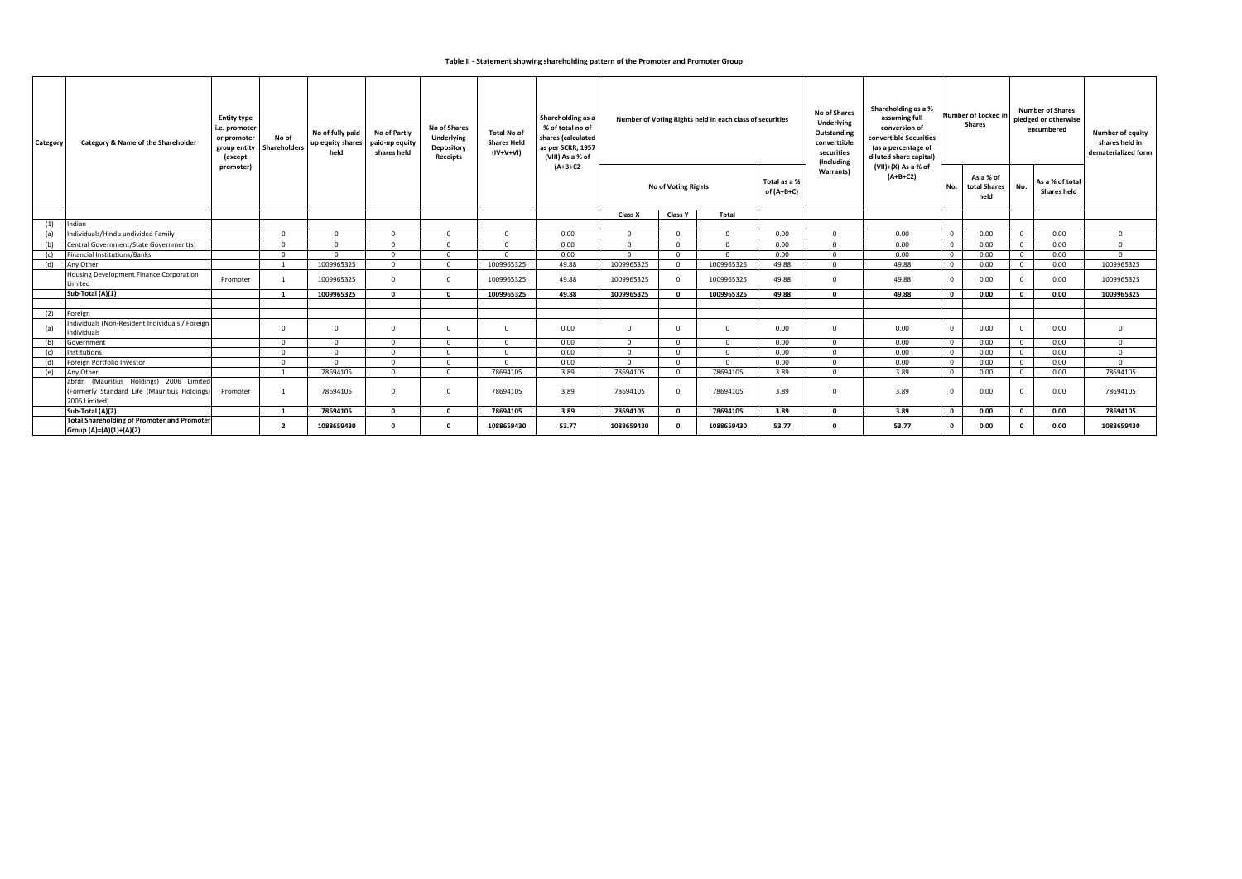#### **Table II ‐ Statement showing shareholding pattern of the Promoter and Promoter Group**

| Category | Category & Name of the Shareholder                                                                       | <b>Entity type</b><br>i.e. promoter<br>or promoter<br>group entity<br>(except | No of<br>Shareholders    |            |              | No of fully paid<br>up equity shares<br>held | No of Partly<br>paid-up equity<br>shares held | No of Shares<br>Underlying<br>Depository<br>Receipts | <b>Total No of</b><br><b>Shares Held</b><br>(IV+V+VI) | Shareholding as a<br>% of total no of<br>shares (calculated<br>as per SCRR, 1957<br>(VIII) As a % of | Number of Voting Rights held in each class of securities |                            |                   |                                   | <b>No of Shares</b><br><b>Underlying</b><br>Outstanding<br>converttible<br>securities<br>(Including | Shareholding as a %<br>assuming full<br>conversion of<br>convertible Securities<br>(as a percentage of<br>diluted share capital) | Number of Locked in<br><b>Shares</b> |                                       | <b>Number of Shares</b><br>pledged or otherwise<br>encumbered |  | <b>Number of equity</b><br>shares held in<br>dematerialized form |
|----------|----------------------------------------------------------------------------------------------------------|-------------------------------------------------------------------------------|--------------------------|------------|--------------|----------------------------------------------|-----------------------------------------------|------------------------------------------------------|-------------------------------------------------------|------------------------------------------------------------------------------------------------------|----------------------------------------------------------|----------------------------|-------------------|-----------------------------------|-----------------------------------------------------------------------------------------------------|----------------------------------------------------------------------------------------------------------------------------------|--------------------------------------|---------------------------------------|---------------------------------------------------------------|--|------------------------------------------------------------------|
|          |                                                                                                          | promoter)                                                                     |                          |            |              |                                              |                                               | (A+B+C2                                              |                                                       | <b>No of Voting Rights</b>                                                                           |                                                          | Total as a %<br>of (A+B+C) | <b>Warrants</b> ) | (VII)+(X) As a % of<br>$(A+B+C2)$ | No.                                                                                                 | As a % of<br>total Shares<br>held                                                                                                | No.                                  | As a % of total<br><b>Shares held</b> |                                                               |  |                                                                  |
|          |                                                                                                          |                                                                               |                          |            |              |                                              |                                               |                                                      | Class X                                               | <b>Class Y</b>                                                                                       | Total                                                    |                            |                   |                                   |                                                                                                     |                                                                                                                                  |                                      |                                       |                                                               |  |                                                                  |
| (1)      | Indian                                                                                                   |                                                                               |                          |            |              |                                              |                                               |                                                      |                                                       |                                                                                                      |                                                          |                            |                   |                                   |                                                                                                     |                                                                                                                                  |                                      |                                       |                                                               |  |                                                                  |
| (a)      | Individuals/Hindu undivided Family                                                                       |                                                                               | $\Omega$                 | $\Omega$   | $\Omega$     | $\Omega$                                     | $\Omega$                                      | 0.00                                                 | $\Omega$                                              | $\Omega$                                                                                             | $\Omega$                                                 | 0.00                       | $\Omega$          | 0.00                              | $\overline{0}$                                                                                      | 0.00                                                                                                                             | $\overline{0}$                       | 0.00                                  | $\mathbf 0$                                                   |  |                                                                  |
| (b)      | Central Government/State Government(s)                                                                   |                                                                               | $\Omega$                 | $\Omega$   | $\Omega$     | $\Omega$                                     | $\Omega$                                      | 0.00                                                 | $\Omega$                                              | $\Omega$                                                                                             | $\Omega$                                                 | 0.00                       | $\Omega$          | 0.00                              | $\overline{0}$                                                                                      | 0.00                                                                                                                             | $\mathbf{0}$                         | 0.00                                  | $\mathbf 0$                                                   |  |                                                                  |
| (c)      | <b>Financial Institutions/Banks</b>                                                                      |                                                                               | $\Omega$                 | $\Omega$   | $\Omega$     | - 0                                          | $\Omega$                                      | 0.00                                                 | $\Omega$                                              | $\Omega$                                                                                             | $\Omega$                                                 | 0.00                       | $\Omega$          | 0.00                              | $\overline{0}$                                                                                      | 0.00                                                                                                                             | $\mathbf{0}$                         | 0.00                                  | $\Omega$                                                      |  |                                                                  |
| (d)      | Any Other                                                                                                |                                                                               | $\overline{\phantom{0}}$ | 1009965325 | $\Omega$     | $\Omega$                                     | 1009965325                                    | 49.88                                                | 1009965325                                            | $\Omega$                                                                                             | 1009965325                                               | 49.88                      | $\Omega$          | 49.88                             | $\overline{0}$                                                                                      | 0.00                                                                                                                             | $\mathbf{0}$                         | 0.00                                  | 1009965325                                                    |  |                                                                  |
|          | <b>Housing Development Finance Corporation</b><br>Limited                                                | Promoter                                                                      |                          | 1009965325 | $\cap$       | $\Omega$                                     | 1009965325                                    | 49.88                                                | 1009965325                                            | $\Omega$                                                                                             | 1009965325                                               | 49.88                      | n.                | 49.88                             | $\overline{0}$                                                                                      | 0.00                                                                                                                             | $\mathbf{0}$                         | 0.00                                  | 1009965325                                                    |  |                                                                  |
|          | Sub-Total (A)(1)                                                                                         |                                                                               | $\overline{\mathbf{1}}$  | 1009965325 | $\mathbf{a}$ | - 0                                          | 1009965325                                    | 49.88                                                | 1009965325                                            | $\Omega$                                                                                             | 1009965325                                               | 49.88                      | $\Omega$          | 49.88                             | $\mathbf{0}$                                                                                        | 0.00                                                                                                                             | $\mathbf{0}$                         | 0.00                                  | 1009965325                                                    |  |                                                                  |
| (2)      | Foreign                                                                                                  |                                                                               |                          |            |              |                                              |                                               |                                                      |                                                       |                                                                                                      |                                                          |                            |                   |                                   |                                                                                                     |                                                                                                                                  |                                      |                                       |                                                               |  |                                                                  |
| (a)      | ndividuals (Non-Resident Individuals / Foreign<br>Individuals                                            |                                                                               | $\Omega$                 |            |              | $\Omega$                                     | $\Omega$                                      | 0.00                                                 | $\Omega$                                              | $\Omega$                                                                                             | $\Omega$                                                 | 0.00                       | $\Omega$          | 0.00                              | $\Omega$                                                                                            | 0.00                                                                                                                             | $\mathbf{0}$                         | 0.00                                  | $\Omega$                                                      |  |                                                                  |
| (b)      | Government                                                                                               |                                                                               | $\Omega$                 | $\Omega$   | $\Omega$     | $\Omega$                                     | $\Omega$                                      | 0.00                                                 | $\Omega$                                              | $\Omega$                                                                                             | $\Omega$                                                 | 0.00                       | $\Omega$          | 0.00                              | $\overline{0}$                                                                                      | 0.00                                                                                                                             | $\mathbf{0}$                         | 0.00                                  | $\mathbf 0$                                                   |  |                                                                  |
| (c)      | Institutions                                                                                             |                                                                               | $\Omega$                 | $\Omega$   | $\cap$       | $\Omega$                                     | $\Omega$                                      | 0.00                                                 | $\Omega$                                              | $\Omega$                                                                                             | $\Omega$                                                 | 0.00                       | $\Omega$          | 0.00                              | $\overline{0}$                                                                                      | 0.00                                                                                                                             | $\Omega$                             | 0.00                                  | $\mathbf 0$                                                   |  |                                                                  |
| (d)      | Foreign Portfolio Investor                                                                               |                                                                               | $\Omega$                 | $\Omega$   | $\Omega$     | $\Omega$                                     | $\Omega$                                      | 0.00                                                 | $\Omega$                                              | $\Omega$                                                                                             | $\Omega$                                                 | 0.00                       | $\Omega$          | 0.00                              | $\overline{0}$                                                                                      | 0.00                                                                                                                             | $\mathbf{0}$                         | 0.00                                  | $\Omega$                                                      |  |                                                                  |
| (e)      | Any Other                                                                                                |                                                                               | 1                        | 78694105   | $\Omega$     | $\overline{0}$                               | 78694105                                      | 3.89                                                 | 78694105                                              | $\Omega$                                                                                             | 78694105                                                 | 3.89                       | $\Omega$          | 3.89                              | $\mathbf{0}$                                                                                        | 0.00                                                                                                                             | $\mathbf{0}$                         | 0.00                                  | 78694105                                                      |  |                                                                  |
|          | abrdn (Mauritius Holdings) 2006 Limited<br>(Formerly Standard Life (Mauritius Holdings)<br>2006 Limited) | Promoter                                                                      |                          | 78694105   |              | $\Omega$                                     | 78694105                                      | 3.89                                                 | 78694105                                              | $\Omega$                                                                                             | 78694105                                                 | 3.89                       | $\Omega$          | 3.89                              | 0                                                                                                   | 0.00                                                                                                                             | $\mathbf 0$                          | 0.00                                  | 78694105                                                      |  |                                                                  |
|          | Sub-Total (A)(2)                                                                                         |                                                                               | $\mathbf{1}$             | 78694105   | $\mathbf{r}$ | - 0                                          | 78694105                                      | 3.89                                                 | 78694105                                              | $\mathbf{0}$                                                                                         | 78694105                                                 | 3.89                       | $\Omega$          | 3.89                              | $\mathbf 0$                                                                                         | 0.00                                                                                                                             | $\mathbf 0$                          | 0.00                                  | 78694105                                                      |  |                                                                  |
|          | <b>Total Shareholding of Promoter and Promoter</b><br>Group (A)=(A)(1)+(A)(2)                            |                                                                               | $\overline{\mathbf{2}}$  | 1088659430 |              | $\Omega$                                     | 1088659430                                    | 53.77                                                | 1088659430                                            | $\Omega$                                                                                             | 1088659430                                               | 53.77                      |                   | 53.77                             | 0                                                                                                   | 0.00                                                                                                                             | $\Omega$                             | 0.00                                  | 1088659430                                                    |  |                                                                  |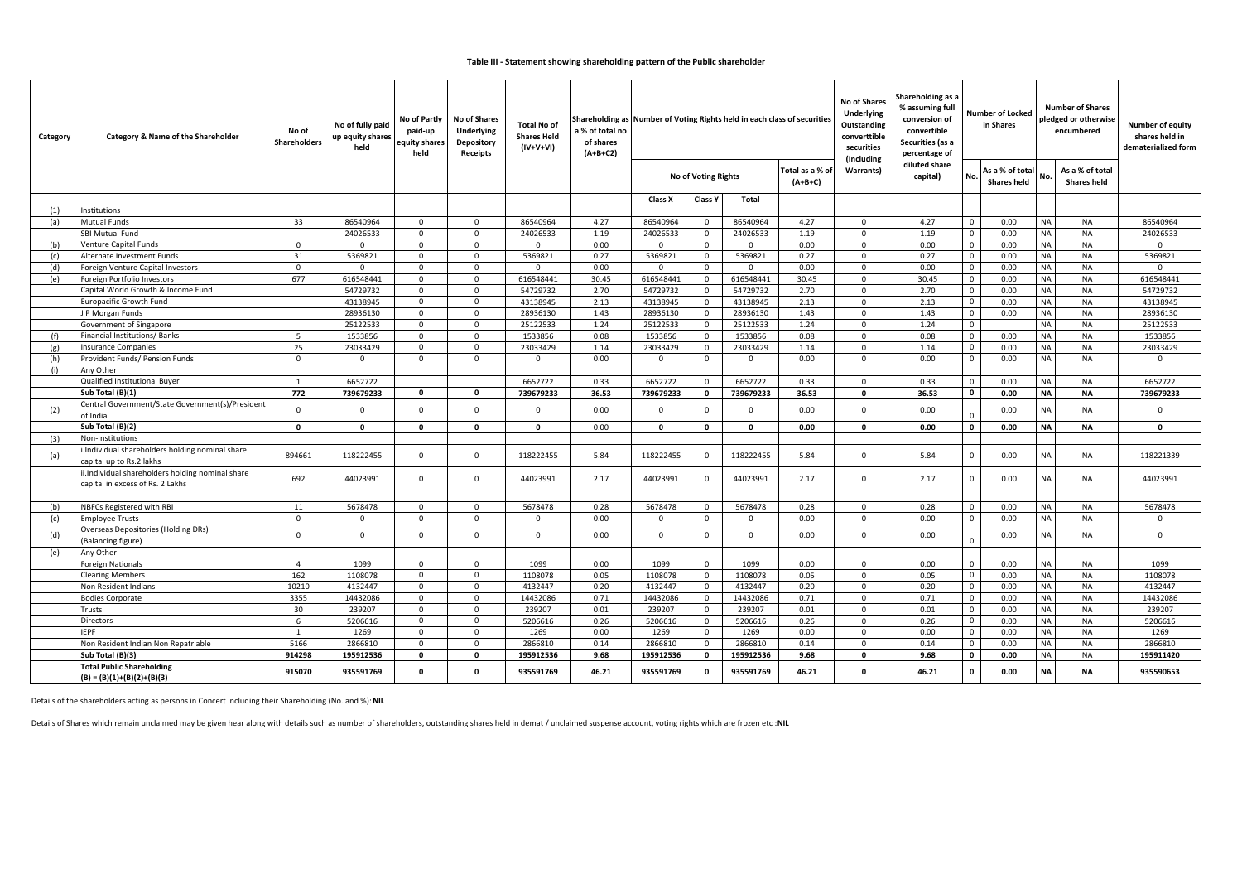| Category | Category & Name of the Shareholder                                                   | No of<br><b>Shareholders</b> | No of fully paid<br>up equity shares<br>held | No of Partly<br>paid-up<br>equity shares<br>held | <b>No of Shares</b><br><b>Underlying</b><br><b>Depository</b><br>Receipts | <b>Total No of</b><br><b>Shares Held</b><br>(IV+V+VI) | a % of total no<br>of shares<br>$(A+B+C2)$ |                     | Shareholding as a<br>No of Shares<br>% assuming full<br><b>Underlying</b><br><b>Number of Locked</b><br>Shareholding as Number of Voting Rights held in each class of securities<br>conversion of<br>Outstanding<br>in Shares<br>convertible<br>converttible<br>Securities (as a<br>securities<br>percentage of<br>(Including<br>diluted share |                     |                            |                            | <b>Number of Shares</b><br>pledged or otherwise<br>encumbered | Number of equity<br>shares held in<br>dematerialized form |                                       |                        |                                       |                        |
|----------|--------------------------------------------------------------------------------------|------------------------------|----------------------------------------------|--------------------------------------------------|---------------------------------------------------------------------------|-------------------------------------------------------|--------------------------------------------|---------------------|------------------------------------------------------------------------------------------------------------------------------------------------------------------------------------------------------------------------------------------------------------------------------------------------------------------------------------------------|---------------------|----------------------------|----------------------------|---------------------------------------------------------------|-----------------------------------------------------------|---------------------------------------|------------------------|---------------------------------------|------------------------|
|          |                                                                                      |                              |                                              |                                                  |                                                                           |                                                       |                                            |                     | <b>No of Voting Rights</b>                                                                                                                                                                                                                                                                                                                     |                     | Total as a % of<br>(A+B+C) | Warrants)                  | capital)                                                      | No.                                                       | As a % of total<br><b>Shares held</b> | No.                    | As a % of total<br><b>Shares held</b> |                        |
|          |                                                                                      |                              |                                              |                                                  |                                                                           |                                                       |                                            | Class X             | <b>Class Y</b>                                                                                                                                                                                                                                                                                                                                 | Total               |                            |                            |                                                               |                                                           |                                       |                        |                                       |                        |
| (1)      | Institutions                                                                         |                              |                                              |                                                  |                                                                           |                                                       |                                            |                     |                                                                                                                                                                                                                                                                                                                                                |                     |                            |                            |                                                               |                                                           |                                       |                        |                                       |                        |
| (a)      | <b>Mutual Funds</b>                                                                  | 33                           | 86540964                                     | $\mathbf 0$                                      | $\Omega$                                                                  | 86540964                                              | 4.27                                       | 86540964            | $\mathsf{O}$                                                                                                                                                                                                                                                                                                                                   | 86540964            | 4.27                       | $\mathbf 0$                | 4.27                                                          | $\mathbf 0$                                               | 0.00                                  | <b>NA</b>              | NA                                    | 86540964               |
|          | <b>SBI Mutual Fund</b>                                                               |                              | 24026533                                     | $\mathbf 0$                                      | $\mathbf 0$<br>$\Omega$                                                   | 24026533                                              | 1.19                                       | 24026533            | $\overline{0}$                                                                                                                                                                                                                                                                                                                                 | 24026533            | 1.19                       | $\mathbf 0$                | 1.19                                                          | $\mathbf 0$                                               | 0.00                                  | <b>NA</b>              | <b>NA</b>                             | 24026533               |
| (b)      | Venture Capital Funds                                                                | $\mathbf 0$                  | $\mathbf 0$                                  | $\mathbf{0}$                                     | $\Omega$                                                                  | $\Omega$                                              | 0.00                                       | $\Omega$            | $\mathbf 0$                                                                                                                                                                                                                                                                                                                                    | $\Omega$            | 0.00                       | $\mathbf 0$                | 0.00                                                          | $\mathbf 0$                                               | 0.00                                  | <b>NA</b>              | <b>NA</b>                             | 0                      |
| (c)      | Alternate Investment Funds<br>Foreign Venture Capital Investors                      | 31<br>$\mathbf 0$            | 5369821<br>$\mathbf 0$                       | $\mathbf 0$<br>$\mathbf 0$                       | $\Omega$                                                                  | 5369821<br>$\Omega$                                   | 0.27<br>0.00                               | 5369821<br>$\Omega$ | $\overline{0}$<br>$\overline{0}$                                                                                                                                                                                                                                                                                                               | 5369821<br>$\Omega$ | 0.27<br>0.00               | $\mathbf 0$<br>$\mathbf 0$ | 0.27<br>0.00                                                  | $\mathbf 0$<br>$\mathbf 0$                                | 0.00<br>0.00                          | <b>NA</b><br><b>NA</b> | <b>NA</b><br><b>NA</b>                | 5369821<br>$\mathbf 0$ |
| (d)      | Foreign Portfolio Investors                                                          | 677                          | 616548441                                    | $\mathbf{0}$                                     | $\Omega$                                                                  | 616548441                                             | 30.45                                      | 616548441           | $\mathbf 0$                                                                                                                                                                                                                                                                                                                                    | 616548441           | 30.45                      | $\mathbf 0$                | 30.45                                                         | $\mathbf 0$                                               | 0.00                                  | <b>NA</b>              | <b>NA</b>                             | 616548441              |
| (e)      | Capital World Growth & Income Fund                                                   |                              | 54729732                                     | $\mathbf 0$                                      | $\Omega$                                                                  | 54729732                                              | 2.70                                       | 54729732            | $\mathbf 0$                                                                                                                                                                                                                                                                                                                                    | 54729732            | 2.70                       | $\mathbf 0$                | 2.70                                                          | $\mathbf 0$                                               | 0.00                                  | <b>NA</b>              | <b>NA</b>                             | 54729732               |
|          | <b>Europacific Growth Fund</b>                                                       |                              | 43138945                                     | $\Omega$                                         | $\mathbf 0$                                                               | 43138945                                              | 2.13                                       | 43138945            | $\overline{0}$                                                                                                                                                                                                                                                                                                                                 | 43138945            | 2.13                       | $\mathbf 0$                | 2.13                                                          | $\mathbf 0$                                               | 0.00                                  | <b>NA</b>              | <b>NA</b>                             | 43138945               |
|          | J P Morgan Funds                                                                     |                              | 28936130                                     | $\mathbf 0$                                      | $\mathbf 0$                                                               | 28936130                                              | 1.43                                       | 28936130            | $\mathbf 0$                                                                                                                                                                                                                                                                                                                                    | 28936130            | 1.43                       | $\mathbf 0$                | 1.43                                                          | $\mathbf 0$                                               | 0.00                                  | <b>NA</b>              | <b>NA</b>                             | 28936130               |
|          | Government of Singapore                                                              |                              | 25122533                                     | $\Omega$                                         | $\Omega$                                                                  | 25122533                                              | 1.24                                       | 25122533            | $\overline{0}$                                                                                                                                                                                                                                                                                                                                 | 25122533            | 1.24                       | $\mathbf 0$                | 1.24                                                          | $\mathbf 0$                                               |                                       | <b>NA</b>              | <b>NA</b>                             | 25122533               |
| (f)      | Financial Institutions/Banks                                                         | 5                            | 1533856                                      | $\Omega$                                         | $\mathbf 0$                                                               | 1533856                                               | 0.08                                       | 1533856             | $\mathbf 0$                                                                                                                                                                                                                                                                                                                                    | 1533856             | 0.08                       | $\mathbf 0$                | 0.08                                                          | $\mathbf 0$                                               | 0.00                                  | <b>NA</b>              | <b>NA</b>                             | 1533856                |
| (g)      | <b>Insurance Companies</b>                                                           | 25                           | 23033429                                     | $\mathbf 0$                                      | $\Omega$                                                                  | 23033429                                              | 1.14                                       | 23033429            | $\mathsf{O}$                                                                                                                                                                                                                                                                                                                                   | 23033429            | 1.14                       | $\mathbf 0$                | 1.14                                                          | $\mathbf 0$                                               | 0.00                                  | <b>NA</b>              | <b>NA</b>                             | 23033429               |
| (h)      | Provident Funds/ Pension Funds                                                       | $\mathsf{O}$                 | $\mathbf 0$                                  | $\mathbf{0}$                                     | $\Omega$                                                                  | $\mathbf 0$                                           | 0.00                                       | $\Omega$            | $\mathsf{O}$                                                                                                                                                                                                                                                                                                                                   | $\Omega$            | 0.00                       | $\mathbf 0$                | 0.00                                                          | $\mathbf 0$                                               | 0.00                                  | <b>NA</b>              | <b>NA</b>                             | $\mathbf 0$            |
| (i)      | Any Other                                                                            |                              |                                              |                                                  |                                                                           |                                                       |                                            |                     |                                                                                                                                                                                                                                                                                                                                                |                     |                            |                            |                                                               |                                                           |                                       |                        |                                       |                        |
|          | Qualified Institutional Buyer                                                        | $\overline{1}$               | 6652722                                      |                                                  |                                                                           | 6652722                                               | 0.33                                       | 6652722             | $\overline{0}$                                                                                                                                                                                                                                                                                                                                 | 6652722             | 0.33                       | $\mathbf 0$                | 0.33                                                          | $\mathbf 0$                                               | 0.00                                  | NA                     | NA                                    | 6652722                |
|          | Sub Total (B)(1)                                                                     | 772                          | 739679233                                    | $\mathbf{0}$                                     | $\Omega$                                                                  | 739679233                                             | 36.53                                      | 739679233           | $\mathbf 0$                                                                                                                                                                                                                                                                                                                                    | 739679233           | 36.53                      | $\mathbf 0$                | 36.53                                                         | $\mathbf 0$                                               | 0.00                                  | <b>NA</b>              | <b>NA</b>                             | 739679233              |
| (2)      | Central Government/State Government(s)/President<br>of India                         | $\mathbf 0$                  | $\mathbf 0$                                  | $\mathbf 0$                                      | $\Omega$                                                                  | $\mathbf 0$                                           | 0.00                                       | $\Omega$            | $\mathbf 0$                                                                                                                                                                                                                                                                                                                                    | $\Omega$            | 0.00                       | $\mathbf 0$                | 0.00                                                          |                                                           | 0.00                                  | <b>NA</b>              | NA                                    | 0                      |
|          | Sub Total (B)(2)                                                                     | $\mathbf 0$                  | $\mathbf 0$                                  | $\mathbf 0$                                      | $\mathbf{0}$                                                              | $\mathbf{0}$                                          | 0.00                                       | $\mathbf{0}$        | $\mathbf 0$                                                                                                                                                                                                                                                                                                                                    | $\mathbf 0$         | 0.00                       | $\mathbf 0$                | 0.00                                                          | $\mathbf 0$                                               | 0.00                                  | <b>NA</b>              | <b>NA</b>                             | $\mathbf 0$            |
| (3)      | Non-Institutions                                                                     |                              |                                              |                                                  |                                                                           |                                                       |                                            |                     |                                                                                                                                                                                                                                                                                                                                                |                     |                            |                            |                                                               |                                                           |                                       |                        |                                       |                        |
| (a)      | i.Individual shareholders holding nominal share<br>capital up to Rs.2 lakhs          | 894661                       | 118222455                                    | $\mathbf 0$                                      | $\Omega$                                                                  | 118222455                                             | 5.84                                       | 118222455           | $\mathbf 0$                                                                                                                                                                                                                                                                                                                                    | 118222455           | 5.84                       | 0                          | 5.84                                                          | $\mathbf 0$                                               | 0.00                                  | <b>NA</b>              | NA                                    | 118221339              |
|          | ii.Individual shareholders holding nominal share<br>capital in excess of Rs. 2 Lakhs | 692                          | 44023991                                     | $\mathbf 0$                                      | $\Omega$                                                                  | 44023991                                              | 2.17                                       | 44023991            | $\mathbf 0$                                                                                                                                                                                                                                                                                                                                    | 44023991            | 2.17                       | $\mathbf 0$                | 2.17                                                          | $\overline{\mathbf{0}}$                                   | 0.00                                  | NA                     | ΝA                                    | 44023991               |
|          |                                                                                      |                              |                                              |                                                  |                                                                           |                                                       |                                            |                     |                                                                                                                                                                                                                                                                                                                                                |                     |                            |                            |                                                               |                                                           |                                       |                        |                                       |                        |
| (b)      | NBFCs Registered with RBI                                                            | 11                           | 5678478                                      | $\mathbf 0$                                      | $\Omega$                                                                  | 5678478                                               | 0.28                                       | 5678478             | $\mathbf 0$                                                                                                                                                                                                                                                                                                                                    | 5678478             | 0.28                       | $\mathbf{0}$               | 0.28                                                          | $\mathbf 0$                                               | 0.00                                  | <b>NA</b>              | <b>NA</b>                             | 5678478                |
| (c)      | <b>Employee Trusts</b>                                                               | $\mathbf 0$                  | $\mathbf 0$                                  | $\mathbf 0$                                      | $\Omega$                                                                  | $\Omega$                                              | 0.00                                       | $\Omega$            | $\mathsf{O}$                                                                                                                                                                                                                                                                                                                                   | $\Omega$            | 0.00                       | $\mathbf 0$                | 0.00                                                          | $\mathbf 0$                                               | 0.00                                  | <b>NA</b>              | <b>NA</b>                             | $\mathbf 0$            |
| (d)      | <b>Overseas Depositories (Holding DRs)</b><br>(Balancing figure)                     | $\Omega$                     | $\Omega$                                     | $\mathbf{0}$                                     | $\Omega$                                                                  | 0                                                     | 0.00                                       | $\Omega$            | $\mathbf 0$                                                                                                                                                                                                                                                                                                                                    | $\Omega$            | 0.00                       | $\Omega$                   | 0.00                                                          |                                                           | 0.00                                  | <b>NA</b>              | NA                                    | $\Omega$               |
| (e)      | Any Other                                                                            |                              |                                              |                                                  |                                                                           |                                                       |                                            |                     |                                                                                                                                                                                                                                                                                                                                                |                     |                            |                            |                                                               |                                                           |                                       |                        |                                       |                        |
|          | <b>Foreign Nationals</b>                                                             | $\overline{4}$               | 1099                                         | $\mathbf 0$                                      | $\Omega$                                                                  | 1099                                                  | 0.00                                       | 1099                | $\mathbf 0$                                                                                                                                                                                                                                                                                                                                    | 1099                | 0.00                       | $\mathbf 0$                | 0.00                                                          | $\mathbf 0$                                               | 0.00                                  | <b>NA</b>              | <b>NA</b>                             | 1099                   |
|          | <b>Clearing Members</b>                                                              | 162                          | 1108078                                      | $\Omega$                                         | $\Omega$                                                                  | 1108078                                               | 0.05                                       | 1108078             | $\mathbf 0$                                                                                                                                                                                                                                                                                                                                    | 1108078             | 0.05                       | $\mathbf 0$                | 0.05                                                          | $\mathbf 0$                                               | 0.00                                  | NA                     | <b>NA</b>                             | 1108078                |
|          | Non Resident Indians                                                                 | 10210                        | 4132447                                      | $\mathbf 0$                                      | $\mathbf 0$                                                               | 4132447                                               | 0.20                                       | 4132447             | $\mathbf 0$                                                                                                                                                                                                                                                                                                                                    | 4132447             | 0.20                       | $\mathbf 0$                | 0.20                                                          | $\mathbf 0$                                               | 0.00                                  | <b>NA</b>              | <b>NA</b>                             | 4132447                |
|          | <b>Bodies Corporate</b>                                                              | 3355                         | 14432086                                     | $\mathbf 0$                                      | $\Omega$                                                                  | 14432086                                              | 0.71                                       | 14432086            | $\mathbf 0$                                                                                                                                                                                                                                                                                                                                    | 14432086            | 0.71                       | $\mathbf 0$                | 0.71                                                          | $\mathbf 0$                                               | 0.00                                  | <b>NA</b>              | <b>NA</b>                             | 14432086               |
|          | Trusts                                                                               | 30                           | 239207                                       | $\Omega$                                         | $\Omega$                                                                  | 239207                                                | 0.01                                       | 239207              | $\overline{0}$                                                                                                                                                                                                                                                                                                                                 | 239207              | 0.01                       | $\mathbf 0$                | 0.01                                                          | $\mathbf 0$                                               | 0.00                                  | <b>NA</b>              | <b>NA</b>                             | 239207                 |
|          | Directors                                                                            | 6                            | 5206616                                      | $\mathbf 0$                                      | $\mathbf 0$                                                               | 5206616                                               | 0.26                                       | 5206616             | $\overline{\mathbf{0}}$                                                                                                                                                                                                                                                                                                                        | 5206616             | 0.26                       | $\mathbf 0$                | 0.26                                                          | $\mathbf 0$                                               | 0.00                                  | <b>NA</b>              | <b>NA</b>                             | 5206616                |
|          | <b>IEPF</b>                                                                          | 1                            | 1269                                         | $\mathbf 0$                                      | $\Omega$                                                                  | 1269                                                  | 0.00                                       | 1269                | $\mathbf 0$                                                                                                                                                                                                                                                                                                                                    | 1269                | 0.00                       | $\mathbf 0$                | 0.00                                                          | $\mathbf 0$                                               | 0.00                                  | <b>NA</b>              | <b>NA</b>                             | 1269                   |
|          | Non Resident Indian Non Repatriable                                                  | 5166                         | 2866810                                      | $\mathbf 0$                                      | $\Omega$                                                                  | 2866810                                               | 0.14                                       | 2866810             | $\mathbf 0$                                                                                                                                                                                                                                                                                                                                    | 2866810             | 0.14                       | $\mathbf 0$                | 0.14                                                          | $\mathbf 0$                                               | 0.00                                  | <b>NA</b>              | <b>NA</b>                             | 2866810                |
|          | Sub Total (B)(3)                                                                     | 914298                       | 195912536                                    | $\mathbf{0}$                                     | $\mathbf{0}$                                                              | 195912536                                             | 9.68                                       | 195912536           | $\mathbf 0$                                                                                                                                                                                                                                                                                                                                    | 195912536           | 9.68                       | $\mathbf 0$                | 9.68                                                          | $\mathbf 0$                                               | 0.00                                  | <b>NA</b>              | NA                                    | 195911420              |
|          | <b>Total Public Shareholding</b><br>$(B) = (B)(1)+(B)(2)+(B)(3)$                     | 915070                       | 935591769                                    | $\mathbf 0$                                      | $\mathbf{0}$                                                              | 935591769                                             | 46.21                                      | 935591769           | $\mathbf 0$                                                                                                                                                                                                                                                                                                                                    | 935591769           | 46.21                      | 0                          | 46.21                                                         | $\mathbf 0$                                               | 0.00                                  | <b>NA</b>              | ΝA                                    | 935590653              |

Details of the shareholders acting as persons in Concert including their Shareholding (No. and %): **NIL**

Details of Shares which remain unclaimed may be given hear along with details such as number of shareholders, outstanding shares held in demat / unclaimed suspense account, voting rights which are frozen etc : **NIL**

### **Table III ‐ Statement showing shareholding pattern of the Public shareholder**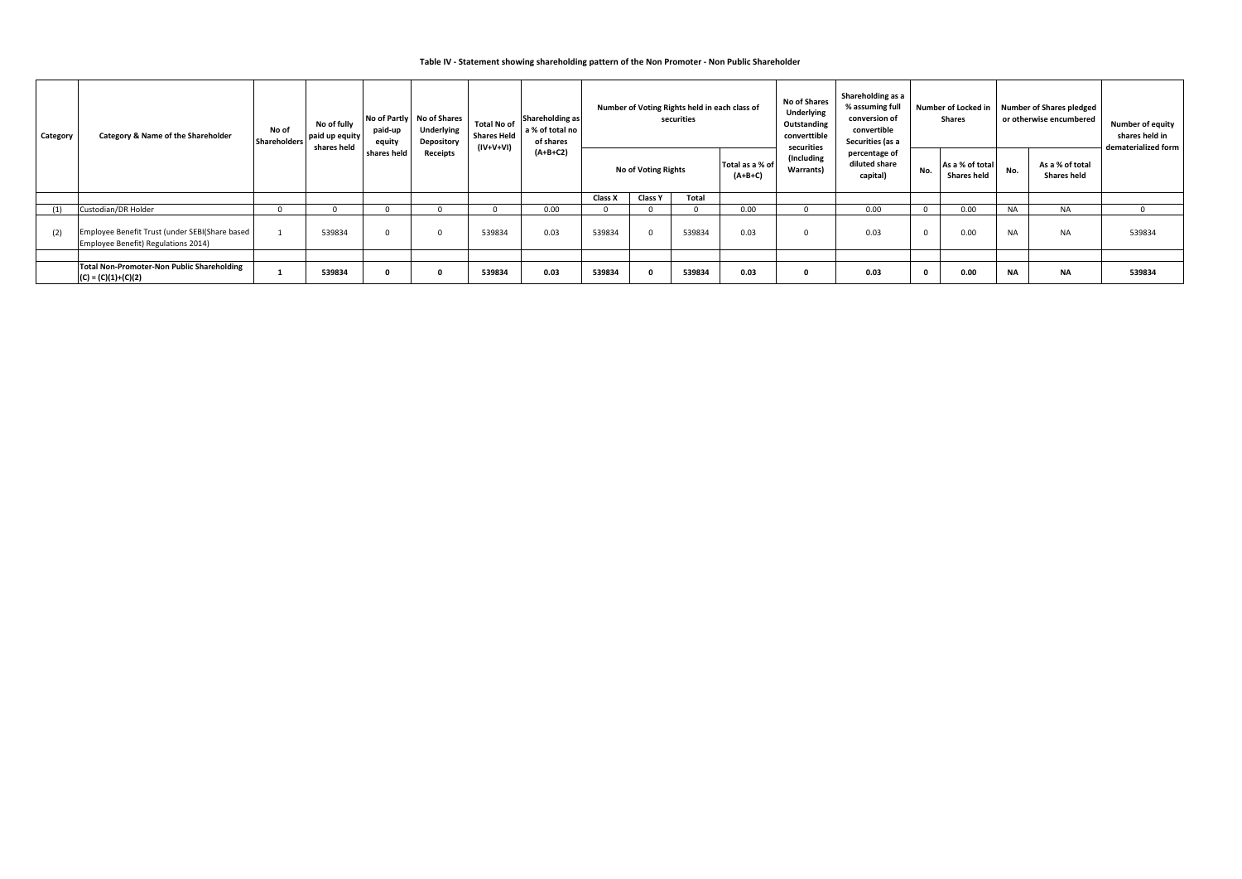### **Table IV ‐ Statement showing shareholding pattern of the Non Promoter ‐ Non Public Shareholder**

| Category | <b>Category &amp; Name of the Shareholder</b>                                         | No of<br><b>Shareholders</b> | No of fully<br>paid up equity<br>shares held | paid-up<br>equity | No of Partly No of Shares<br>Underlying<br>Depository | <b>Total No of</b><br><b>Shares Held</b><br>(IV+V+VI) | Shareholding as<br>a % of total no<br>of shares<br>$(A+B+C2)$ |                |                            | Number of Voting Rights held in each class of<br>securities |                              | <b>No of Shares</b><br><b>Underlying</b><br>Outstanding<br>converttible<br>securities | Shareholding as a<br>% assuming full<br>conversion of<br>convertible<br>Securities (as a |              | <b>Number of Locked in</b><br><b>Shares</b> |           | Number of Shares pledged<br>or otherwise encumbered | <b>Number of equity</b><br>shares held in<br>dematerialized form |
|----------|---------------------------------------------------------------------------------------|------------------------------|----------------------------------------------|-------------------|-------------------------------------------------------|-------------------------------------------------------|---------------------------------------------------------------|----------------|----------------------------|-------------------------------------------------------------|------------------------------|---------------------------------------------------------------------------------------|------------------------------------------------------------------------------------------|--------------|---------------------------------------------|-----------|-----------------------------------------------------|------------------------------------------------------------------|
|          |                                                                                       |                              |                                              | shares held       | <b>Receipts</b>                                       |                                                       |                                                               |                | <b>No of Voting Rights</b> |                                                             | Total as a % of<br>$(A+B+C)$ | (Including<br>Warrants)                                                               | percentage of<br>diluted share<br>capital)                                               | No.          | As a % of total<br><b>Shares held</b>       | No.       | As a % of total<br><b>Shares held</b>               |                                                                  |
|          |                                                                                       |                              |                                              |                   |                                                       |                                                       |                                                               | <b>Class X</b> | <b>Class Y</b>             | Total                                                       |                              |                                                                                       |                                                                                          |              |                                             |           |                                                     |                                                                  |
| (1)      | Custodian/DR Holder                                                                   |                              | $\Omega$                                     |                   |                                                       |                                                       | 0.00                                                          |                |                            |                                                             | 0.00                         | 0                                                                                     | 0.00                                                                                     | $\mathbf{0}$ | 0.00                                        | <b>NA</b> | <b>NA</b>                                           |                                                                  |
| (2)      | Employee Benefit Trust (under SEBI(Share based<br>Employee Benefit) Regulations 2014) |                              | 539834                                       |                   |                                                       | 539834                                                | 0.03                                                          | 539834         |                            | 539834                                                      | 0.03                         | 0                                                                                     | 0.03                                                                                     | 0            | 0.00                                        | <b>NA</b> | <b>NA</b>                                           | 539834                                                           |
|          |                                                                                       |                              |                                              |                   |                                                       |                                                       |                                                               |                |                            |                                                             |                              |                                                                                       |                                                                                          |              |                                             |           |                                                     |                                                                  |
|          | Total Non-Promoter-Non Public Shareholding<br>$(C) = (C)(1)+(C)(2)$                   |                              | 539834                                       |                   |                                                       | 539834                                                | 0.03                                                          | 539834         |                            | 539834                                                      | 0.03                         | 0                                                                                     | 0.03                                                                                     |              | 0.00                                        | <b>NA</b> | <b>NA</b>                                           | 539834                                                           |